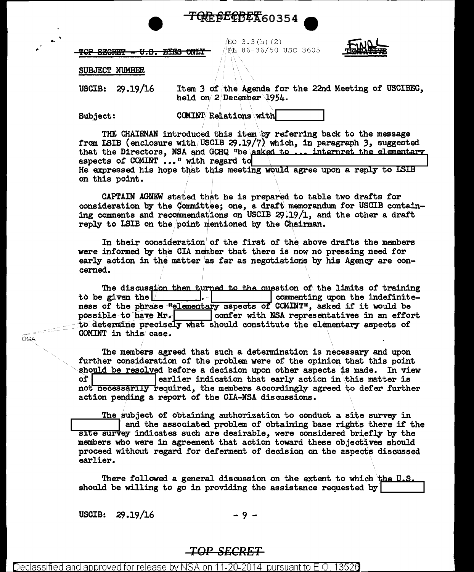

LO 3.3(h)(2) PL 86-36/50 USC 3605



TOP SECRET <del>EYES ONLY</del> <del>8.9.</del>

SUBJECT NUMBER

Item 3 of the Agenda for the 22nd Meeting of USCIBEC, **USCIB:**  $29.19/16$ held on 2 December 1954.

**Subject:** 

**COMINT Relations with** 

THE CHAIRMAN introduced this item by referring back to the message from ISIB (enclosure with USCIB 29.19/7) which, in paragraph 3, suggested that the Directors, NSA and GCHQ "be asked to ... interpret the elementary aspects of COMINT ..." with regard to He expressed his hope that this meeting would agree upon a reply to LSIB on this point.

CAPTAIN AGNEW stated that he is prepared to table two drafts for consideration by the Committee; one, a draft memorandum for USCIB containing comments and recommendations on USCIB 29.19/1, and the other a draft reply to LSIB on the point mentioned by the Chairman.

In their consideration of the first of the above drafts the members were informed by the CIA member that there is now no pressing need for early action in the matter as far as negotiations by his Agency are concerned.

The discussion then turned to the question of the limits of training to be given the  $\sqrt{ }$ commenting upon the indefinite-ness of the phrase "elementary aspects of COMINT", asked if it would be possible to have Mr. | confer with NSA representatives in an effort to determine precisely what should constitute the elementary aspects of COMINT in this case.

The members agreed that such a determination is necessary and upon further consideration of the problem were of the opinion that this point should be resolved before a decision upon other aspects is made. In view  $of <sub>1</sub>$ earlier indication that early action in this matter is not necessarily required, the members accordingly agreed to defer further action pending a report of the CIA-NSA discussions.

The subject of obtaining authorization to conduct a site survey in and the associated problem of obtaining base rights there if the site survey indicates such are desirable, were considered briefly by the members who were in agreement that action toward these objectives should proceed without regard for deferment of decision on the aspects discussed earlier.

There followed a general discussion on the extent to which the U.S. should be willing to go in providing the assistance requested by

USCIB:  $29.19/16$ 

-9-

## **TOP SECRET**

)erlassified and approved for release by NSA nn pursuant to E

OGA